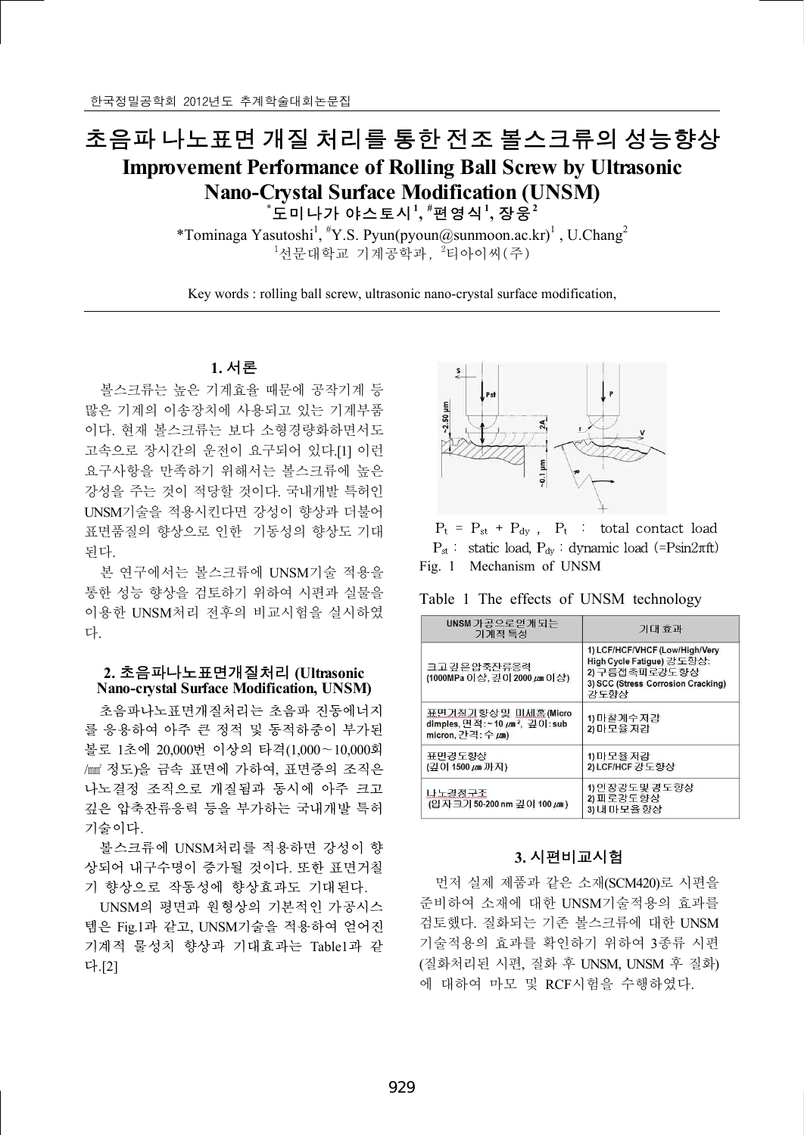## 초음파 나노표면 개질 처리를 통한 전조 볼스크류의 성능향상

# **Improvement Performance of Rolling Ball Screw by Ultrasonic Nano-Crystal Surface Modification (UNSM)** 개질 처리를 통한 전<br>Informance of Rolling E<br>Crystal Surface Modific<br>\*도미나가 야스토시<sup>!</sup>, \*편영·<br><sub>ssutoshi</sub>! #y s\_Pyun(ryoun@sur **, #**편영식**<sup>1</sup> ,** 장웅**<sup>2</sup>**

\*Tominaga Yasutoshi<sup>1</sup>, <sup>#</sup>Y.S. Pyun(pyoun@sunmoon.ac.kr)<sup>1</sup>, U.Chang<sup>2</sup> <sup>1</sup>선문대학교 기계공학과, <sup>2</sup>티아이씨(주)

Key words : rolling ball screw, ultrasonic nano-crystal surface modification,

## **1.** 서론

볼스크류는 높은 기계효율 때문에 공작기계 등 많은 기계의 이송장치에 사용되고 있는 기계부품 이다. 현재 볼스크류는 보다 소형경량화하면서도 고속으로 장시간의 운전이 요구되어 있다.[1] 이런 요구사항을 만족하기 위해서는 볼스크류에 높은 강성을 주는 것이 적당할 것이다. 국내개발 특허인 UNSM기술을 적용시킨다면 강성이 향상과 더불어 표면품질의 향상으로 인한 기동성의 향상도 기대 된다.

본 연구에서는 볼스크류에 UNSM기술 적용을 통한 성능 향상을 검토하기 위하여 시편과 실물을 이용한 UNSM처리 전후의 비교시험을 실시하였 다.

## **2.** 초음파나노표면개질처리 **(Ultrasonic Nano-crystal Surface Modification, UNSM)**

초음파나노표면개질처리는 초음파 진동에너지 를 응용하여 아주 큰 정적 및 동적하중이 부가된 볼로 1초에 20,000번 이상의 타격(1,000∼10,000회 /㎟ 정도)을 금속 표면에 가하여, 표면증의 조직은 나노결정 조직으로 개질됨과 동시에 아주 크고 깊은 압축잔류응력 등을 부가하는 국내개발 특허 기술이다.

볼스크류에 UNSM처리를 적용하면 강성이 향 상되어 내구수명이 증가될 것이다. 또한 표면거칠 기 향상으로 작동성에 향상효과도 기대된다.

UNSM의 평면과 원형상의 기본적인 가공시스 템은 Fig.1과 같고, UNSM기술을 적용하여 얻어진 기계적 물성치 향상과 기대효과는 Table1과 같 다.[2]



 $P_t = P_{st} + P_{dv}$ ,  $P_t$  : total contact load  $P_{st}$  : static load,  $P_{dy}$  : dynamic load (=Psin2πft) Fig. 1 Mechanism of UNSM

Table 1 The effects of UNSM technology

| UNSM가공으로얻게되는<br>기계적 특성<br>크고 깊은 압축자류응력<br>(1000MPa 이상, 깊이 2000 μm 이상)<br>표면거칠기향상및 미세홈(Micro<br>dimples, 면적:~10 $\mu$ m <sup>2</sup> , 깊이:sub<br>micron, 간격: 수 μm)<br>표면경도향상<br>(깊이 1500 µm 까지)<br>나노결정구조 | 기대 효과                                                                                                                      |  |
|----------------------------------------------------------------------------------------------------------------------------------------------------------------------------------------------------------|----------------------------------------------------------------------------------------------------------------------------|--|
|                                                                                                                                                                                                          | 1) LCF/HCF/VHCF (Low/High/Very<br>High Cycle Fatique) 강도향상:<br>2) 구름접촉피로강도향상<br>3) SCC (Stress Corrosion Cracking)<br>강도향상 |  |
|                                                                                                                                                                                                          | 1) 마찰계수저감<br>2) 마모율 저감                                                                                                     |  |
|                                                                                                                                                                                                          | 1) 마모율 저감<br>2) LCF/HCF 강도향상                                                                                               |  |
| (입자크기 50-200 nm 깊이 100 μm)                                                                                                                                                                               | 1) 인장강도및 경도향상<br>2) 피로강도향상<br>3) 내 마모율 향상                                                                                  |  |

## **3.** 시편비교시험

먼저 실제 제품과 같은 소재(SCM420)로 시편을 준비하여 소재에 대한 UNSM기술적용의 효과를 검토했다. 질화되는 기존 볼스크류에 대한 UNSM 기술적용의 효과를 확인하기 위하여 3종류 시편 (질화처리된 시편, 질화 후 UNSM, UNSM 후 질화) 에 대하여 마모 및 RCF시험을 수행하였다.